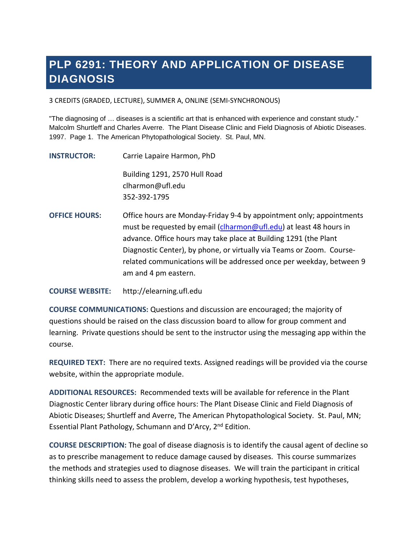# **PLP 6291: THEORY AND APPLICATION OF DISEASE DIAGNOSIS**

3 CREDITS (GRADED, LECTURE), SUMMER A, ONLINE (SEMI-SYNCHRONOUS)

"The diagnosing of … diseases is a scientific art that is enhanced with experience and constant study." Malcolm Shurtleff and Charles Averre. The Plant Disease Clinic and Field Diagnosis of Abiotic Diseases. 1997. Page 1. The American Phytopathological Society. St. Paul, MN.

**INSTRUCTOR:** Carrie Lapaire Harmon, PhD Building 1291, 2570 Hull Road clharmon@ufl.edu 352-392-1795

**OFFICE HOURS:** Office hours are Monday-Friday 9-4 by appointment only; appointments must be requested by email [\(clharmon@ufl.edu\)](mailto:clharmon@ufl.edu) at least 48 hours in advance. Office hours may take place at Building 1291 (the Plant Diagnostic Center), by phone, or virtually via Teams or Zoom. Courserelated communications will be addressed once per weekday, between 9 am and 4 pm eastern.

**COURSE WEBSITE:** [http://e](http://lss.at.ufl.edu/)learnin[g.ufl.edu](http://lss.at.ufl.edu/)

**COURSE COMMUNICATIONS:** Questions and discussion are encouraged; the majority of questions should be raised on the class discussion board to allow for group comment and learning. Private questions should be sent to the instructor using the messaging app within the course.

**REQUIRED TEXT:** There are no required texts. Assigned readings will be provided via the course website, within the appropriate module.

**ADDITIONAL RESOURCES:** Recommended texts will be available for reference in the Plant Diagnostic Center library during office hours: The Plant Disease Clinic and Field Diagnosis of Abiotic Diseases; Shurtleff and Averre, The American Phytopathological Society. St. Paul, MN; Essential Plant Pathology, Schumann and D'Arcy, 2nd Edition.

**COURSE DESCRIPTION:** The goal of disease diagnosis is to identify the causal agent of decline so as to prescribe management to reduce damage caused by diseases. This course summarizes the methods and strategies used to diagnose diseases. We will train the participant in critical thinking skills need to assess the problem, develop a working hypothesis, test hypotheses,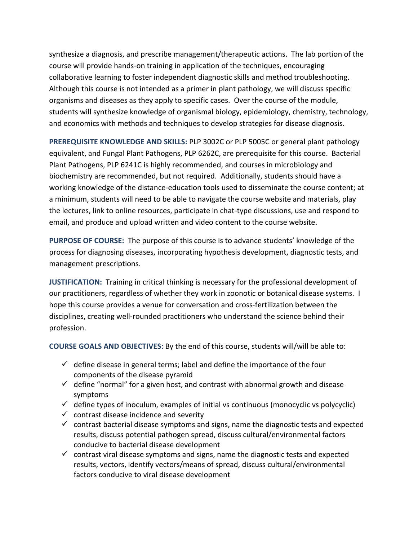synthesize a diagnosis, and prescribe management/therapeutic actions. The lab portion of the course will provide hands-on training in application of the techniques, encouraging collaborative learning to foster independent diagnostic skills and method troubleshooting. Although this course is not intended as a primer in plant pathology, we will discuss specific organisms and diseases as they apply to specific cases. Over the course of the module, students will synthesize knowledge of organismal biology, epidemiology, chemistry, technology, and economics with methods and techniques to develop strategies for disease diagnosis.

**PREREQUISITE KNOWLEDGE AND SKILLS:** PLP 3002C or PLP 5005C or general plant pathology equivalent, and Fungal Plant Pathogens, PLP 6262C, are prerequisite for this course. Bacterial Plant Pathogens, PLP 6241C is highly recommended, and courses in microbiology and biochemistry are recommended, but not required. Additionally, students should have a working knowledge of the distance-education tools used to disseminate the course content; at a minimum, students will need to be able to navigate the course website and materials, play the lectures, link to online resources, participate in chat-type discussions, use and respond to email, and produce and upload written and video content to the course website.

**PURPOSE OF COURSE:** The purpose of this course is to advance students' knowledge of the process for diagnosing diseases, incorporating hypothesis development, diagnostic tests, and management prescriptions.

**JUSTIFICATION:** Training in critical thinking is necessary for the professional development of our practitioners, regardless of whether they work in zoonotic or botanical disease systems. I hope this course provides a venue for conversation and cross-fertilization between the disciplines, creating well-rounded practitioners who understand the science behind their profession.

**COURSE GOALS AND OBJECTIVES:** By the end of this course, students will/will be able to:

- $\checkmark$  define disease in general terms; label and define the importance of the four components of the disease pyramid
- $\checkmark$  define "normal" for a given host, and contrast with abnormal growth and disease symptoms
- $\checkmark$  define types of inoculum, examples of initial vs continuous (monocyclic vs polycyclic)
- $\checkmark$  contrast disease incidence and severity
- $\checkmark$  contrast bacterial disease symptoms and signs, name the diagnostic tests and expected results, discuss potential pathogen spread, discuss cultural/environmental factors conducive to bacterial disease development
- $\checkmark$  contrast viral disease symptoms and signs, name the diagnostic tests and expected results, vectors, identify vectors/means of spread, discuss cultural/environmental factors conducive to viral disease development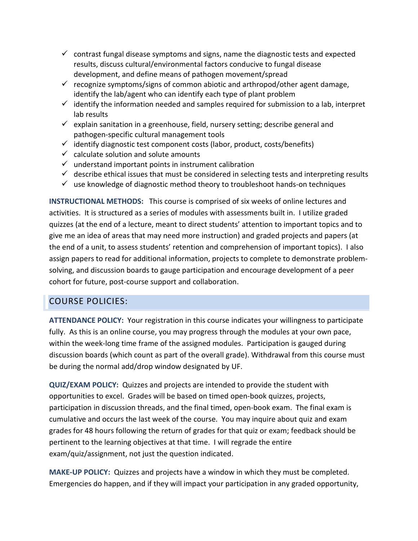- $\checkmark$  contrast fungal disease symptoms and signs, name the diagnostic tests and expected results, discuss cultural/environmental factors conducive to fungal disease development, and define means of pathogen movement/spread
- $\checkmark$  recognize symptoms/signs of common abiotic and arthropod/other agent damage, identify the lab/agent who can identify each type of plant problem
- $\checkmark$  identify the information needed and samples required for submission to a lab, interpret lab results
- $\checkmark$  explain sanitation in a greenhouse, field, nursery setting; describe general and pathogen-specific cultural management tools
- $\checkmark$  identify diagnostic test component costs (labor, product, costs/benefits)
- $\checkmark$  calculate solution and solute amounts
- $\checkmark$  understand important points in instrument calibration
- $\checkmark$  describe ethical issues that must be considered in selecting tests and interpreting results
- $\checkmark$  use knowledge of diagnostic method theory to troubleshoot hands-on techniques

**INSTRUCTIONAL METHODS:** This course is comprised of six weeks of online lectures and activities. It is structured as a series of modules with assessments built in. I utilize graded quizzes (at the end of a lecture, meant to direct students' attention to important topics and to give me an idea of areas that may need more instruction) and graded projects and papers (at the end of a unit, to assess students' retention and comprehension of important topics). I also assign papers to read for additional information, projects to complete to demonstrate problemsolving, and discussion boards to gauge participation and encourage development of a peer cohort for future, post-course support and collaboration.

## COURSE POLICIES:

**ATTENDANCE POLICY:** Your registration in this course indicates your willingness to participate fully. As this is an online course, you may progress through the modules at your own pace, within the week-long time frame of the assigned modules. Participation is gauged during discussion boards (which count as part of the overall grade). Withdrawal from this course must be during the normal add/drop window designated by UF.

**QUIZ/EXAM POLICY:** Quizzes and projects are intended to provide the student with opportunities to excel. Grades will be based on timed open-book quizzes, projects, participation in discussion threads, and the final timed, open-book exam. The final exam is cumulative and occurs the last week of the course. You may inquire about quiz and exam grades for 48 hours following the return of grades for that quiz or exam; feedback should be pertinent to the learning objectives at that time. I will regrade the entire exam/quiz/assignment, not just the question indicated.

**MAKE-UP POLICY:** Quizzes and projects have a window in which they must be completed. Emergencies do happen, and if they will impact your participation in any graded opportunity,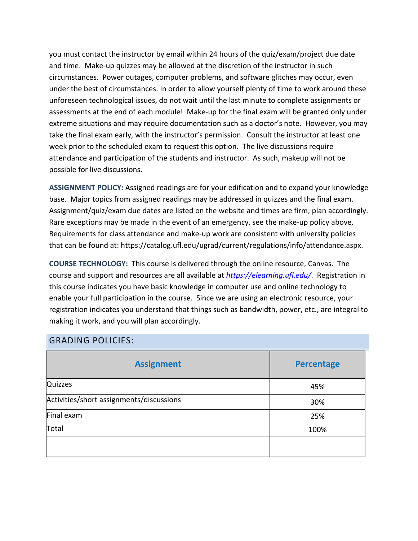you must contact the instructor by email within 24 hours of the quiz/exam/project due date and time. Make-up quizzes may be allowed at the discretion of the instructor in such circumstances. Power outages, computer problems, and software glitches may occur, even under the best of circumstances. In order to allow yourself plenty of time to work around these unforeseen technological issues, do not wait until the last minute to complete assignments or assessments at the end of each module! Make-up for the final exam will be granted only under extreme situations and may require documentation such as a doctor's note. However, you may take the final exam early, with the instructor's permission. Consult the instructor at least one week prior to the scheduled exam to request this option. The live discussions require attendance and participation of the students and instructor. As such, makeup will not be possible for live discussions.

**ASSIGNMENT POLICY:** Assigned readings are for your edification and to expand your knowledge base. Major topics from assigned readings may be addressed in quizzes and the final exam. Assignment/quiz/exam due dates are listed on the website and times are firm; plan accordingly. Rare exceptions may be made in the event of an emergency, see the make-up policy above. Requirements for class attendance and make-up work are consistent with university policies that can be found at: https://catalog.ufl.edu/ugrad/current/regulations/info/attendance.aspx.

**COURSE TECHNOLOGY:** This course is delivered through the online resource, Canvas. The course and support and resources are all available at *<https://elearning.ufl.edu/>*. Registration in this course indicates you have basic knowledge in computer use and online technology to enable your full participation in the course. Since we are using an electronic resource, your registration indicates you understand that things such as bandwidth, power, etc., are integral to making it work, and you will plan accordingly.

| UINADIIVU I ULICILU.                     |                   |  |
|------------------------------------------|-------------------|--|
| <b>Assignment</b>                        | <b>Percentage</b> |  |
| Quizzes                                  | 45%               |  |
| Activities/short assignments/discussions | 30%               |  |
| Final exam                               | 25%               |  |
| Total                                    | 100%              |  |
|                                          |                   |  |

### GRADING POLICIES: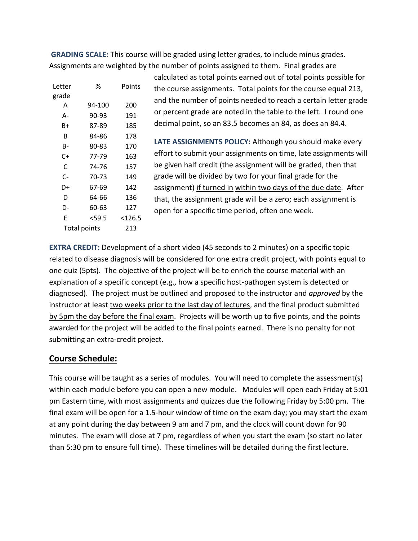**GRADING SCALE:** This course will be graded using letter grades, to include minus grades. Assignments are weighted by the number of points assigned to them. Final grades are

| Letter | %                   | Points  | the course assi     |
|--------|---------------------|---------|---------------------|
| grade  |                     |         | and the numbe       |
| Α      | 94-100              | 200     | or percent grad     |
| А-     | 90-93               | 191     |                     |
| B+     | 87-89               | 185     | decimal point,      |
| В      | 84-86               | 178     |                     |
| B-     | 80-83               | 170     | <b>LATE ASSIGNN</b> |
| C+     | 77-79               | 163     | effort to subm      |
| C      | 74-76               | 157     | be given half c     |
| $C -$  | 70-73               | 149     | grade will be d     |
| D+     | 67-69               | 142     | assignment) if      |
| D      | 64-66               | 136     | that, the assign    |
| D-     | 60-63               | 127     | open for a spe      |
| E      | $<$ 59.5            | < 126.5 |                     |
|        | <b>Total points</b> | 213     |                     |

calculated as total points earned out of total points possible for ignments. Total points for the course equal 213, er of points needed to reach a certain letter grade de are noted in the table to the left. I round one so an 83.5 becomes an 84, as does an 84.4.

**LATE ASSIGNMENTS POLICY:** Although you should make every it your assignments on time, late assignments will redit (the assignment will be graded, then that ivided by two for your final grade for the turned in within two days of the due date. After that, the a zero; each assignment is cific time period, often one week.

**EXTRA CREDIT:** Development of a short video (45 seconds to 2 minutes) on a specific topic related to disease diagnosis will be considered for one extra credit project, with points equal to one quiz (5pts). The objective of the project will be to enrich the course material with an explanation of a specific concept (e.g., how a specific host-pathogen system is detected or diagnosed). The project must be outlined and proposed to the instructor and *approved* by the instructor at least two weeks prior to the last day of lectures, and the final product submitted by 5pm the day before the final exam. Projects will be worth up to five points, and the points awarded for the project will be added to the final points earned. There is no penalty for not submitting an extra-credit project.

#### **Course Schedule:**

This course will be taught as a series of modules. You will need to complete the assessment(s) within each module before you can open a new module. Modules will open each Friday at 5:01 pm Eastern time, with most assignments and quizzes due the following Friday by 5:00 pm. The final exam will be open for a 1.5-hour window of time on the exam day; you may start the exam at any point during the day between 9 am and 7 pm, and the clock will count down for 90 minutes. The exam will close at 7 pm, regardless of when you start the exam (so start no later than 5:30 pm to ensure full time). These timelines will be detailed during the first lecture.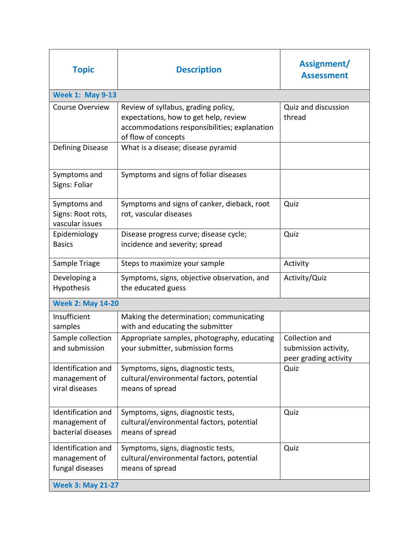| <b>Topic</b>                                                     | <b>Description</b>                                                                                                                                  | Assignment/<br><b>Assessment</b>                                |
|------------------------------------------------------------------|-----------------------------------------------------------------------------------------------------------------------------------------------------|-----------------------------------------------------------------|
| <b>Week 1: May 9-13</b>                                          |                                                                                                                                                     |                                                                 |
| <b>Course Overview</b>                                           | Review of syllabus, grading policy,<br>expectations, how to get help, review<br>accommodations responsibilities; explanation<br>of flow of concepts | Quiz and discussion<br>thread                                   |
| Defining Disease                                                 | What is a disease; disease pyramid                                                                                                                  |                                                                 |
| Symptoms and<br>Signs: Foliar                                    | Symptoms and signs of foliar diseases                                                                                                               |                                                                 |
| Symptoms and<br>Signs: Root rots,<br>vascular issues             | Symptoms and signs of canker, dieback, root<br>rot, vascular diseases                                                                               | Quiz                                                            |
| Epidemiology<br><b>Basics</b>                                    | Disease progress curve; disease cycle;<br>incidence and severity; spread                                                                            | Quiz                                                            |
| Sample Triage                                                    | Steps to maximize your sample                                                                                                                       | Activity                                                        |
| Developing a<br>Hypothesis                                       | Symptoms, signs, objective observation, and<br>the educated guess                                                                                   | Activity/Quiz                                                   |
| <b>Week 2: May 14-20</b>                                         |                                                                                                                                                     |                                                                 |
| Insufficient<br>samples                                          | Making the determination; communicating<br>with and educating the submitter                                                                         |                                                                 |
| Sample collection<br>and submission                              | Appropriate samples, photography, educating<br>your submitter, submission forms                                                                     | Collection and<br>submission activity,<br>peer grading activity |
| Identification and<br>management of<br>viral diseases            | Symptoms, signs, diagnostic tests,<br>cultural/environmental factors, potential<br>means of spread                                                  | Quiz                                                            |
| <b>Identification and</b><br>management of<br>bacterial diseases | Symptoms, signs, diagnostic tests,<br>cultural/environmental factors, potential<br>means of spread                                                  | Quiz                                                            |
| Identification and<br>management of<br>fungal diseases           | Symptoms, signs, diagnostic tests,<br>cultural/environmental factors, potential<br>means of spread                                                  | Quiz                                                            |
| <b>Week 3: May 21-27</b>                                         |                                                                                                                                                     |                                                                 |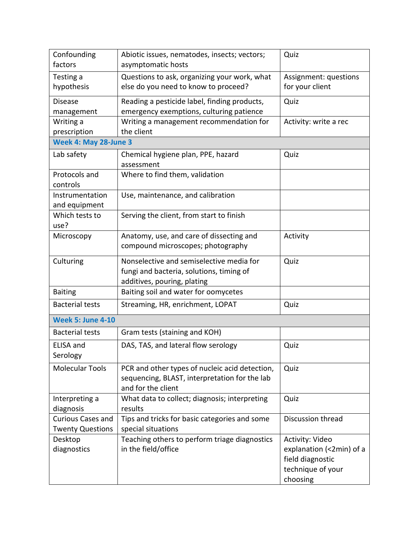| Confounding<br>factors   | Abiotic issues, nematodes, insects; vectors;<br>asymptomatic hosts | Quiz                     |
|--------------------------|--------------------------------------------------------------------|--------------------------|
|                          |                                                                    |                          |
| Testing a                | Questions to ask, organizing your work, what                       | Assignment: questions    |
| hypothesis               | else do you need to know to proceed?                               | for your client          |
| <b>Disease</b>           | Reading a pesticide label, finding products,                       | Quiz                     |
| management               | emergency exemptions, culturing patience                           |                          |
| Writing a                | Writing a management recommendation for                            | Activity: write a rec    |
| prescription             | the client                                                         |                          |
| Week 4: May 28-June 3    |                                                                    |                          |
| Lab safety               | Chemical hygiene plan, PPE, hazard                                 | Quiz                     |
|                          | assessment                                                         |                          |
| Protocols and            | Where to find them, validation                                     |                          |
| controls                 |                                                                    |                          |
| Instrumentation          | Use, maintenance, and calibration                                  |                          |
| and equipment            |                                                                    |                          |
| Which tests to           | Serving the client, from start to finish                           |                          |
| use?                     |                                                                    |                          |
| Microscopy               | Anatomy, use, and care of dissecting and                           | Activity                 |
|                          | compound microscopes; photography                                  |                          |
| Culturing                | Nonselective and semiselective media for                           | Quiz                     |
|                          | fungi and bacteria, solutions, timing of                           |                          |
|                          | additives, pouring, plating                                        |                          |
| <b>Baiting</b>           | Baiting soil and water for oomycetes                               |                          |
| <b>Bacterial tests</b>   | Streaming, HR, enrichment, LOPAT                                   | Quiz                     |
| <b>Week 5: June 4-10</b> |                                                                    |                          |
| <b>Bacterial tests</b>   | Gram tests (staining and KOH)                                      |                          |
| <b>ELISA and</b>         | DAS, TAS, and lateral flow serology                                | Quiz                     |
| Serology                 |                                                                    |                          |
| <b>Molecular Tools</b>   | PCR and other types of nucleic acid detection,                     | Quiz                     |
|                          | sequencing, BLAST, interpretation for the lab                      |                          |
|                          | and for the client                                                 |                          |
| Interpreting a           | What data to collect; diagnosis; interpreting                      | Quiz                     |
| diagnosis                | results                                                            |                          |
| <b>Curious Cases and</b> | Tips and tricks for basic categories and some                      | Discussion thread        |
| <b>Twenty Questions</b>  | special situations                                                 |                          |
| Desktop                  | Teaching others to perform triage diagnostics                      | Activity: Video          |
| diagnostics              | in the field/office                                                | explanation (<2min) of a |
|                          |                                                                    | field diagnostic         |
|                          |                                                                    | technique of your        |
|                          |                                                                    | choosing                 |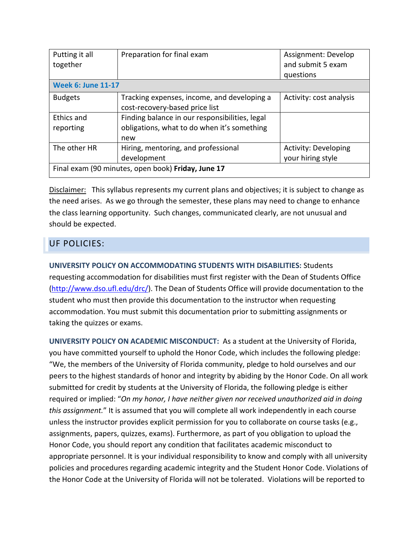| Putting it all<br>together                         | Preparation for final exam                                                                           | Assignment: Develop<br>and submit 5 exam<br>questions |  |
|----------------------------------------------------|------------------------------------------------------------------------------------------------------|-------------------------------------------------------|--|
| <b>Week 6: June 11-17</b>                          |                                                                                                      |                                                       |  |
| <b>Budgets</b>                                     | Tracking expenses, income, and developing a<br>cost-recovery-based price list                        | Activity: cost analysis                               |  |
| Ethics and<br>reporting                            | Finding balance in our responsibilities, legal<br>obligations, what to do when it's something<br>new |                                                       |  |
| The other HR                                       | Hiring, mentoring, and professional<br>development                                                   | <b>Activity: Developing</b><br>your hiring style      |  |
| Final exam (90 minutes, open book) Friday, June 17 |                                                                                                      |                                                       |  |

Disclaimer:This syllabus represents my current plans and objectives; it is subject to change as the need arises. As we go through the semester, these plans may need to change to enhance the class learning opportunity. Such changes, communicated clearly, are not unusual and should be expected.

#### UF POLICIES:

**UNIVERSITY POLICY ON ACCOMMODATING STUDENTS WITH DISABILITIES:** Students requesting accommodation for disabilities must first register with the Dean of Students Office [\(http://www.dso.ufl.edu/drc/\)](http://www.dso.ufl.edu/drc/). The Dean of Students Office will provide documentation to the student who must then provide this documentation to the instructor when requesting accommodation. You must submit this documentation prior to submitting assignments or taking the quizzes or exams.

**UNIVERSITY POLICY ON ACADEMIC MISCONDUCT:** As a student at the University of Florida, you have committed yourself to uphold the Honor Code, which includes the following pledge: "We, the members of the University of Florida community, pledge to hold ourselves and our peers to the highest standards of honor and integrity by abiding by the Honor Code. On all work submitted for credit by students at the University of Florida, the following pledge is either required or implied: "*On my honor, I have neither given nor received unauthorized aid in doing this assignment.*" It is assumed that you will complete all work independently in each course unless the instructor provides explicit permission for you to collaborate on course tasks (e.g., assignments, papers, quizzes, exams). Furthermore, as part of you obligation to upload the Honor Code, you should report any condition that facilitates academic misconduct to appropriate personnel. It is your individual responsibility to know and comply with all university policies and procedures regarding academic integrity and the Student Honor Code. Violations of the Honor Code at the University of Florida will not be tolerated. Violations will be reported to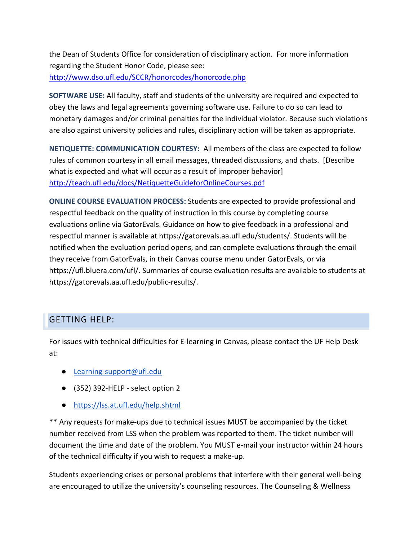the Dean of Students Office for consideration of disciplinary action. For more information regarding the Student Honor Code, please see: <http://www.dso.ufl.edu/SCCR/honorcodes/honorcode.php>

**SOFTWARE USE:** All faculty, staff and students of the university are required and expected to obey the laws and legal agreements governing software use. Failure to do so can lead to monetary damages and/or criminal penalties for the individual violator. Because such violations are also against university policies and rules, disciplinary action will be taken as appropriate.

**NETIQUETTE: COMMUNICATION COURTESY:** All members of the class are expected to follow rules of common courtesy in all email messages, threaded discussions, and chats. [Describe what is expected and what will occur as a result of improper behavior] <http://teach.ufl.edu/docs/NetiquetteGuideforOnlineCourses.pdf>

**ONLINE COURSE EVALUATION PROCESS:** Students are expected to provide professional and respectful feedback on the quality of instruction in this course by completing course evaluations online via GatorEvals. Guidance on how to give feedback in a professional and respectful manner is available at https://gatorevals.aa.ufl.edu/students/. Students will be notified when the evaluation period opens, and can complete evaluations through the email they receive from GatorEvals, in their Canvas course menu under GatorEvals, or via https://ufl.bluera.com/ufl/. Summaries of course evaluation results are available to students at https://gatorevals.aa.ufl.edu/public-results/.

#### GETTING HELP:

For issues with technical difficulties for E-learning in Canvas, please contact the UF Help Desk at:

- [Learning-support@ufl.edu](mailto:Learning-support@ufl.edu)
- (352) 392-HELP select option 2
- <https://lss.at.ufl.edu/help.shtml>

\*\* Any requests for make-ups due to technical issues MUST be accompanied by the ticket number received from LSS when the problem was reported to them. The ticket number will document the time and date of the problem. You MUST e-mail your instructor within 24 hours of the technical difficulty if you wish to request a make-up.

Students experiencing crises or personal problems that interfere with their general well-being are encouraged to utilize the university's counseling resources. The Counseling & Wellness